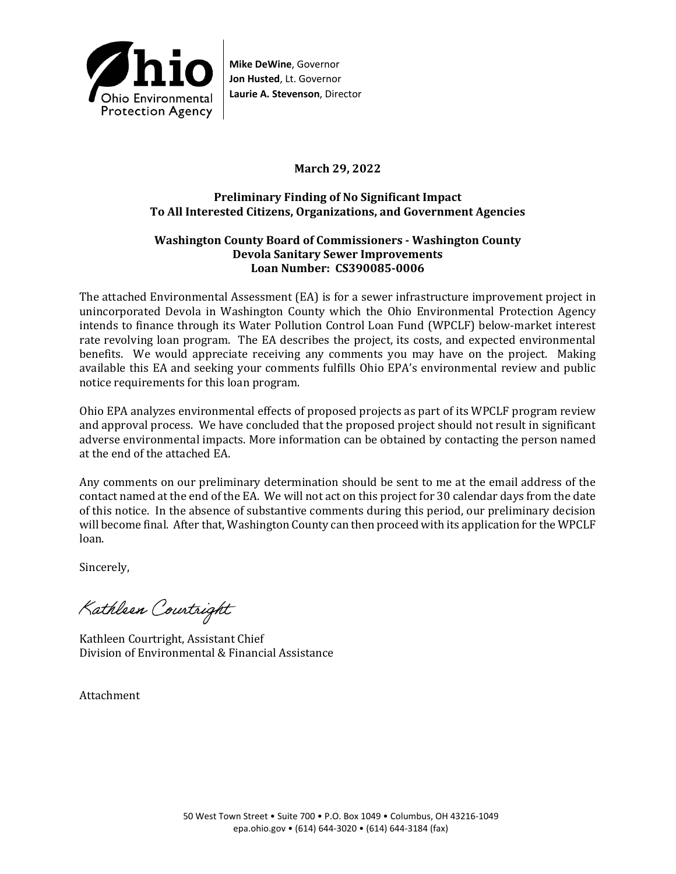

**Mike DeWine**, Governor **Jon Husted**, Lt. Governor **Laurie A. Stevenson**, Director

### **March 29, 2022**

### **Preliminary Finding of No Significant Impact To All Interested Citizens, Organizations, and Government Agencies**

#### **Washington County Board of Commissioners - Washington County Devola Sanitary Sewer Improvements Loan Number: CS390085-0006**

The attached Environmental Assessment (EA) is for a sewer infrastructure improvement project in unincorporated Devola in Washington County which the Ohio Environmental Protection Agency intends to finance through its Water Pollution Control Loan Fund (WPCLF) below-market interest rate revolving loan program. The EA describes the project, its costs, and expected environmental benefits. We would appreciate receiving any comments you may have on the project. Making available this EA and seeking your comments fulfills Ohio EPA's environmental review and public notice requirements for this loan program.

Ohio EPA analyzes environmental effects of proposed projects as part of its WPCLF program review and approval process. We have concluded that the proposed project should not result in significant adverse environmental impacts. More information can be obtained by contacting the person named at the end of the attached EA.

Any comments on our preliminary determination should be sent to me at the email address of the contact named at the end of the EA. We will not act on this project for 30 calendar days from the date of this notice. In the absence of substantive comments during this period, our preliminary decision will become final. After that, Washington County can then proceed with its application for the WPCLF loan.

Sincerely,

Kathleen Courtright

Kathleen Courtright, Assistant Chief Division of Environmental & Financial Assistance

Attachment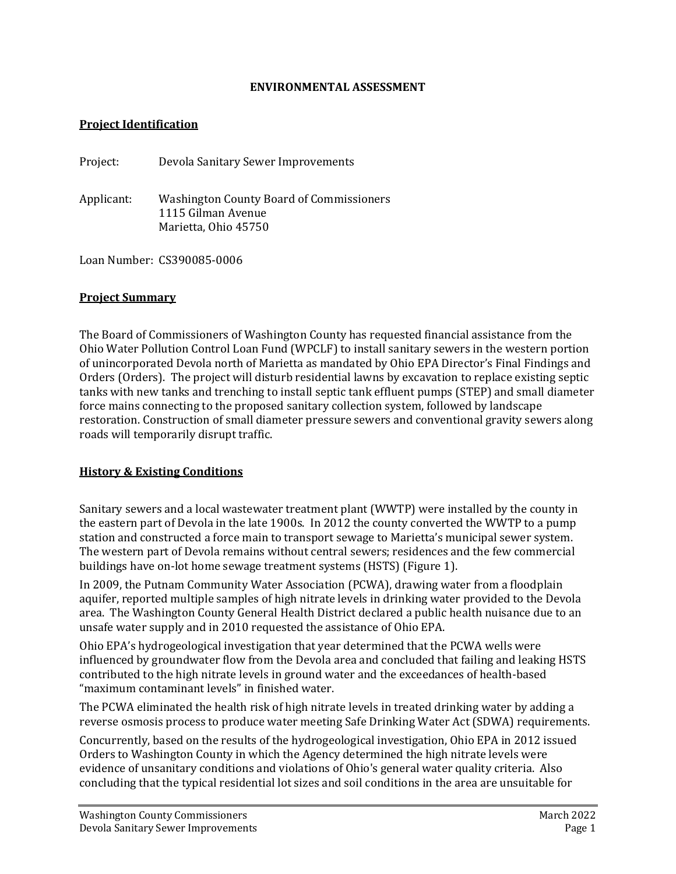### **ENVIRONMENTAL ASSESSMENT**

### **Project Identification**

Project: Devola Sanitary Sewer Improvements

Applicant: Washington County Board of Commissioners 1115 Gilman Avenue Marietta, Ohio 45750

Loan Number: CS390085-0006

#### **Project Summary**

The Board of Commissioners of Washington County has requested financial assistance from the Ohio Water Pollution Control Loan Fund (WPCLF) to install sanitary sewers in the western portion of unincorporated Devola north of Marietta as mandated by Ohio EPA Director's Final Findings and Orders (Orders). The project will disturb residential lawns by excavation to replace existing septic tanks with new tanks and trenching to install septic tank effluent pumps (STEP) and small diameter force mains connecting to the proposed sanitary collection system, followed by landscape restoration. Construction of small diameter pressure sewers and conventional gravity sewers along roads will temporarily disrupt traffic.

#### **History & Existing Conditions**

Sanitary sewers and a local wastewater treatment plant (WWTP) were installed by the county in the eastern part of Devola in the late 1900s. In 2012 the county converted the WWTP to a pump station and constructed a force main to transport sewage to Marietta's municipal sewer system. The western part of Devola remains without central sewers; residences and the few commercial buildings have on-lot home sewage treatment systems (HSTS) (Figure 1).

In 2009, the Putnam Community Water Association (PCWA), drawing water from a floodplain aquifer, reported multiple samples of high nitrate levels in drinking water provided to the Devola area. The Washington County General Health District declared a public health nuisance due to an unsafe water supply and in 2010 requested the assistance of Ohio EPA.

Ohio EPA's hydrogeological investigation that year determined that the PCWA wells were influenced by groundwater flow from the Devola area and concluded that failing and leaking HSTS contributed to the high nitrate levels in ground water and the exceedances of health-based "maximum contaminant levels" in finished water.

The PCWA eliminated the health risk of high nitrate levels in treated drinking water by adding a reverse osmosis process to produce water meeting Safe Drinking Water Act (SDWA) requirements.

Concurrently, based on the results of the hydrogeological investigation, Ohio EPA in 2012 issued Orders to Washington County in which the Agency determined the high nitrate levels were evidence of unsanitary conditions and violations of Ohio's general water quality criteria. Also concluding that the typical residential lot sizes and soil conditions in the area are unsuitable for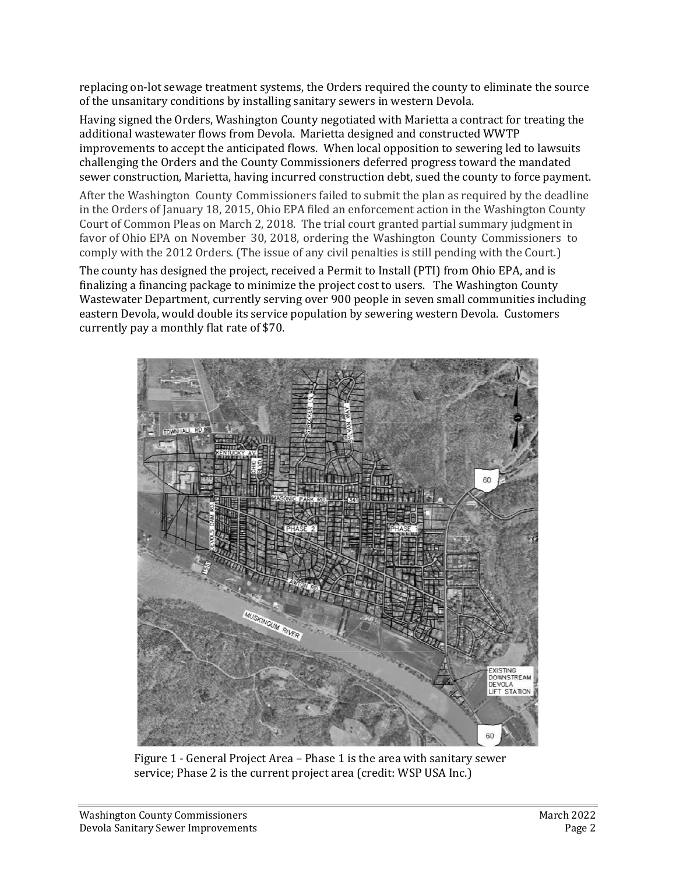replacing on-lot sewage treatment systems, the Orders required the county to eliminate the source of the unsanitary conditions by installing sanitary sewers in western Devola.

Having signed the Orders, Washington County negotiated with Marietta a contract for treating the additional wastewater flows from Devola. Marietta designed and constructed WWTP improvements to accept the anticipated flows. When local opposition to sewering led to lawsuits challenging the Orders and the County Commissioners deferred progress toward the mandated sewer construction, Marietta, having incurred construction debt, sued the county to force payment.

After the Washington County Commissioners failed to submit the plan as required by the deadline in the Orders of January 18, 2015, Ohio EPA filed an enforcement action in the Washington County Court of Common Pleas on March 2, 2018. The trial court granted partial summary judgment in favor of Ohio EPA on November 30, 2018, ordering the Washington County Commissioners to comply with the 2012 Orders. (The issue of any civil penalties is still pending with the Court.)

The county has designed the project, received a Permit to Install (PTI) from Ohio EPA, and is finalizing a financing package to minimize the project cost to users. The Washington County Wastewater Department, currently serving over 900 people in seven small communities including eastern Devola, would double its service population by sewering western Devola. Customers currently pay a monthly flat rate of \$70.



Figure 1 - General Project Area – Phase 1 is the area with sanitary sewer service; Phase 2 is the current project area (credit: WSP USA Inc.)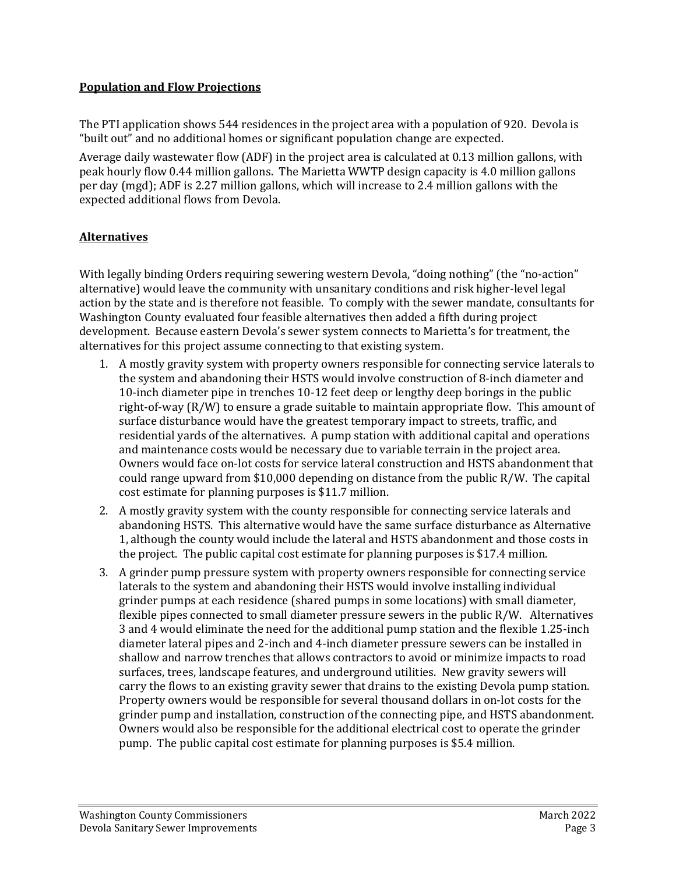## **Population and Flow Projections**

The PTI application shows 544 residences in the project area with a population of 920. Devola is "built out" and no additional homes or significant population change are expected.

Average daily wastewater flow (ADF) in the project area is calculated at 0.13 million gallons, with peak hourly flow 0.44 million gallons. The Marietta WWTP design capacity is 4.0 million gallons per day (mgd); ADF is 2.27 million gallons, which will increase to 2.4 million gallons with the expected additional flows from Devola.

# **Alternatives**

With legally binding Orders requiring sewering western Devola, "doing nothing" (the "no-action" alternative) would leave the community with unsanitary conditions and risk higher-level legal action by the state and is therefore not feasible. To comply with the sewer mandate, consultants for Washington County evaluated four feasible alternatives then added a fifth during project development. Because eastern Devola's sewer system connects to Marietta's for treatment, the alternatives for this project assume connecting to that existing system.

- 1. A mostly gravity system with property owners responsible for connecting service laterals to the system and abandoning their HSTS would involve construction of 8-inch diameter and 10-inch diameter pipe in trenches 10-12 feet deep or lengthy deep borings in the public right-of-way (R/W) to ensure a grade suitable to maintain appropriate flow. This amount of surface disturbance would have the greatest temporary impact to streets, traffic, and residential yards of the alternatives. A pump station with additional capital and operations and maintenance costs would be necessary due to variable terrain in the project area. Owners would face on-lot costs for service lateral construction and HSTS abandonment that could range upward from \$10,000 depending on distance from the public R/W. The capital cost estimate for planning purposes is \$11.7 million.
- 2. A mostly gravity system with the county responsible for connecting service laterals and abandoning HSTS. This alternative would have the same surface disturbance as Alternative 1, although the county would include the lateral and HSTS abandonment and those costs in the project. The public capital cost estimate for planning purposes is \$17.4 million.
- 3. A grinder pump pressure system with property owners responsible for connecting service laterals to the system and abandoning their HSTS would involve installing individual grinder pumps at each residence (shared pumps in some locations) with small diameter, flexible pipes connected to small diameter pressure sewers in the public R/W. Alternatives 3 and 4 would eliminate the need for the additional pump station and the flexible 1.25-inch diameter lateral pipes and 2-inch and 4-inch diameter pressure sewers can be installed in shallow and narrow trenches that allows contractors to avoid or minimize impacts to road surfaces, trees, landscape features, and underground utilities. New gravity sewers will carry the flows to an existing gravity sewer that drains to the existing Devola pump station. Property owners would be responsible for several thousand dollars in on-lot costs for the grinder pump and installation, construction of the connecting pipe, and HSTS abandonment. Owners would also be responsible for the additional electrical cost to operate the grinder pump. The public capital cost estimate for planning purposes is \$5.4 million.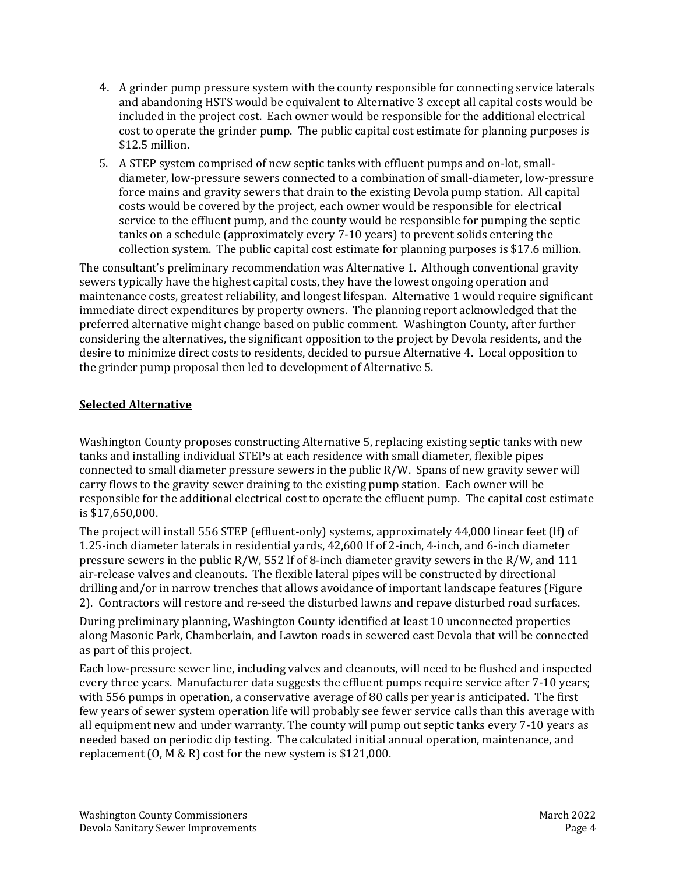- 4. A grinder pump pressure system with the county responsible for connecting service laterals and abandoning HSTS would be equivalent to Alternative 3 except all capital costs would be included in the project cost. Each owner would be responsible for the additional electrical cost to operate the grinder pump. The public capital cost estimate for planning purposes is \$12.5 million.
- 5. A STEP system comprised of new septic tanks with effluent pumps and on-lot, smalldiameter, low-pressure sewers connected to a combination of small-diameter, low-pressure force mains and gravity sewers that drain to the existing Devola pump station. All capital costs would be covered by the project, each owner would be responsible for electrical service to the effluent pump, and the county would be responsible for pumping the septic tanks on a schedule (approximately every 7-10 years) to prevent solids entering the collection system. The public capital cost estimate for planning purposes is \$17.6 million.

The consultant's preliminary recommendation was Alternative 1. Although conventional gravity sewers typically have the highest capital costs, they have the lowest ongoing operation and maintenance costs, greatest reliability, and longest lifespan. Alternative 1 would require significant immediate direct expenditures by property owners. The planning report acknowledged that the preferred alternative might change based on public comment. Washington County, after further considering the alternatives, the significant opposition to the project by Devola residents, and the desire to minimize direct costs to residents, decided to pursue Alternative 4. Local opposition to the grinder pump proposal then led to development of Alternative 5.

# **Selected Alternative**

Washington County proposes constructing Alternative 5, replacing existing septic tanks with new tanks and installing individual STEPs at each residence with small diameter, flexible pipes connected to small diameter pressure sewers in the public R/W. Spans of new gravity sewer will carry flows to the gravity sewer draining to the existing pump station. Each owner will be responsible for the additional electrical cost to operate the effluent pump. The capital cost estimate is \$17,650,000.

The project will install 556 STEP (effluent-only) systems, approximately 44,000 linear feet (lf) of 1.25-inch diameter laterals in residential yards, 42,600 lf of 2-inch, 4-inch, and 6-inch diameter pressure sewers in the public R/W, 552 lf of 8-inch diameter gravity sewers in the R/W, and 111 air-release valves and cleanouts. The flexible lateral pipes will be constructed by directional drilling and/or in narrow trenches that allows avoidance of important landscape features (Figure 2). Contractors will restore and re-seed the disturbed lawns and repave disturbed road surfaces.

During preliminary planning, Washington County identified at least 10 unconnected properties along Masonic Park, Chamberlain, and Lawton roads in sewered east Devola that will be connected as part of this project.

Each low-pressure sewer line, including valves and cleanouts, will need to be flushed and inspected every three years. Manufacturer data suggests the effluent pumps require service after 7-10 years; with 556 pumps in operation, a conservative average of 80 calls per year is anticipated. The first few years of sewer system operation life will probably see fewer service calls than this average with all equipment new and under warranty. The county will pump out septic tanks every 7-10 years as needed based on periodic dip testing. The calculated initial annual operation, maintenance, and replacement (O, M & R) cost for the new system is \$121,000.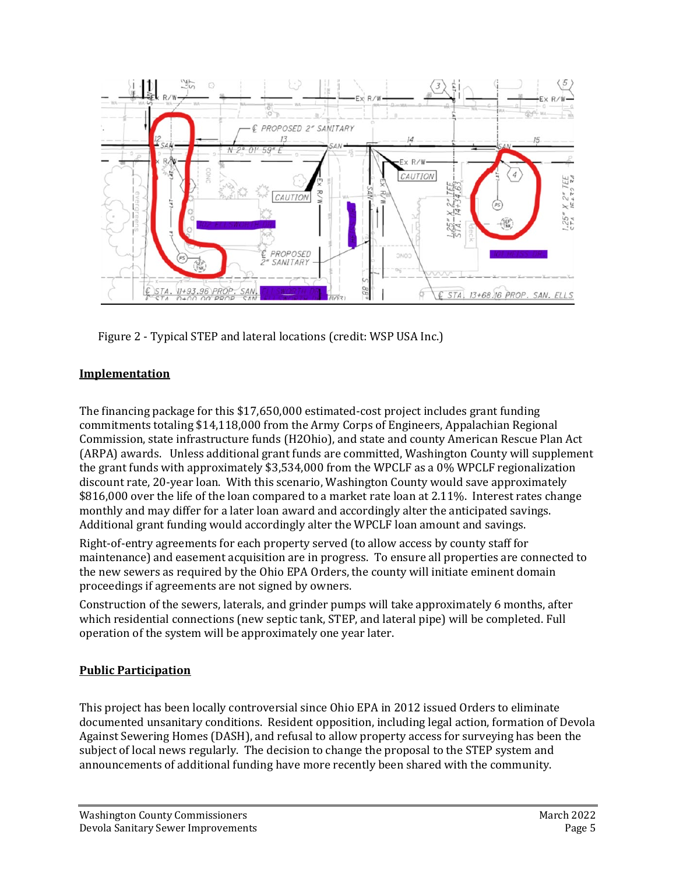

Figure 2 - Typical STEP and lateral locations (credit: WSP USA Inc.)

# **Implementation**

The financing package for this \$17,650,000 estimated-cost project includes grant funding commitments totaling \$14,118,000 from the Army Corps of Engineers, Appalachian Regional Commission, state infrastructure funds (H2Ohio), and state and county American Rescue Plan Act (ARPA) awards. Unless additional grant funds are committed, Washington County will supplement the grant funds with approximately \$3,534,000 from the WPCLF as a 0% WPCLF regionalization discount rate, 20-year loan. With this scenario, Washington County would save approximately \$816,000 over the life of the loan compared to a market rate loan at 2.11%. Interest rates change monthly and may differ for a later loan award and accordingly alter the anticipated savings. Additional grant funding would accordingly alter the WPCLF loan amount and savings.

Right-of-entry agreements for each property served (to allow access by county staff for maintenance) and easement acquisition are in progress. To ensure all properties are connected to the new sewers as required by the Ohio EPA Orders, the county will initiate eminent domain proceedings if agreements are not signed by owners.

Construction of the sewers, laterals, and grinder pumps will take approximately 6 months, after which residential connections (new septic tank, STEP, and lateral pipe) will be completed. Full operation of the system will be approximately one year later.

# **Public Participation**

This project has been locally controversial since Ohio EPA in 2012 issued Orders to eliminate documented unsanitary conditions. Resident opposition, including legal action, formation of Devola Against Sewering Homes (DASH), and refusal to allow property access for surveying has been the subject of local news regularly. The decision to change the proposal to the STEP system and announcements of additional funding have more recently been shared with the community.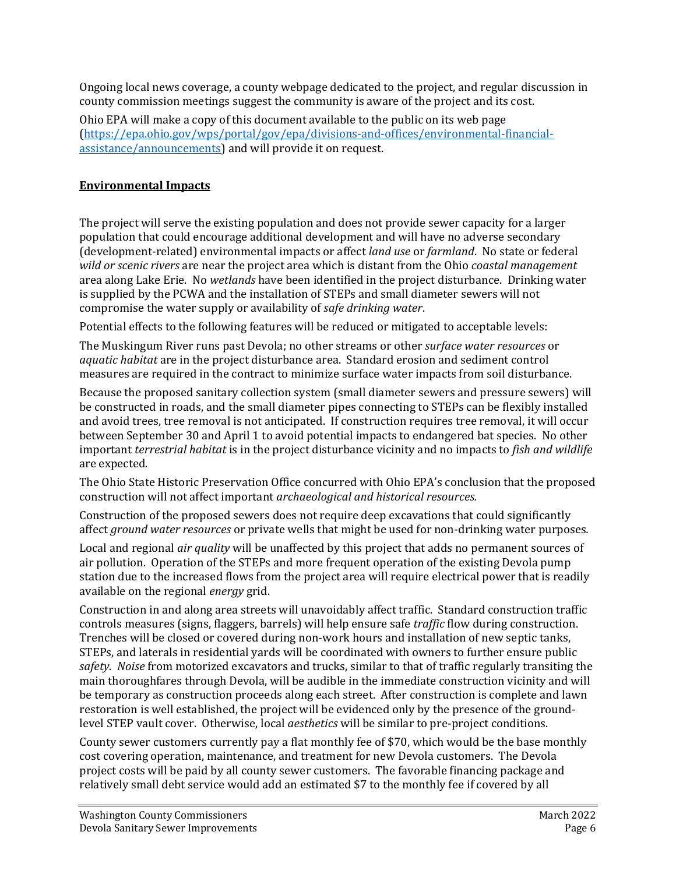Ongoing local news coverage, a county webpage dedicated to the project, and regular discussion in county commission meetings suggest the community is aware of the project and its cost.

Ohio EPA will make a copy of this document available to the public on its web page [\(https://epa.ohio.gov/wps/portal/gov/epa/divisions-and-offices/environmental-financial](https://gcc02.safelinks.protection.outlook.com/?url=https%3A%2F%2Fepa.ohio.gov%2Fwps%2Fportal%2Fgov%2Fepa%2Fdivisions-and-offices%2Fenvironmental-financial-assistance%2Fannouncements&data=04%7C01%7CDaniel.Halterman%40epa.ohio.gov%7C1f94d89e94884fcfc84408d9b90052d2%7C50f8fcc494d84f0784eb36ed57c7c8a2%7C0%7C0%7C637744233303553241%7CUnknown%7CTWFpbGZsb3d8eyJWIjoiMC4wLjAwMDAiLCJQIjoiV2luMzIiLCJBTiI6Ik1haWwiLCJXVCI6Mn0%3D%7C3000&sdata=XCBEXTvngiRAlsY8Xh34544%2FN%2FuOYM1IAMgUuqhhc%2Fo%3D&reserved=0)[assistance/announcements\)](https://gcc02.safelinks.protection.outlook.com/?url=https%3A%2F%2Fepa.ohio.gov%2Fwps%2Fportal%2Fgov%2Fepa%2Fdivisions-and-offices%2Fenvironmental-financial-assistance%2Fannouncements&data=04%7C01%7CDaniel.Halterman%40epa.ohio.gov%7C1f94d89e94884fcfc84408d9b90052d2%7C50f8fcc494d84f0784eb36ed57c7c8a2%7C0%7C0%7C637744233303553241%7CUnknown%7CTWFpbGZsb3d8eyJWIjoiMC4wLjAwMDAiLCJQIjoiV2luMzIiLCJBTiI6Ik1haWwiLCJXVCI6Mn0%3D%7C3000&sdata=XCBEXTvngiRAlsY8Xh34544%2FN%2FuOYM1IAMgUuqhhc%2Fo%3D&reserved=0) and will provide it on request.

## **Environmental Impacts**

The project will serve the existing population and does not provide sewer capacity for a larger population that could encourage additional development and will have no adverse secondary (development-related) environmental impacts or affect *land use* or *farmland*. No state or federal *wild or scenic rivers* are near the project area which is distant from the Ohio *coastal management* area along Lake Erie. No *wetlands* have been identified in the project disturbance. Drinking water is supplied by the PCWA and the installation of STEPs and small diameter sewers will not compromise the water supply or availability of *safe drinking water*.

Potential effects to the following features will be reduced or mitigated to acceptable levels:

The Muskingum River runs past Devola; no other streams or other *surface water resources* or *aquatic habitat* are in the project disturbance area. Standard erosion and sediment control measures are required in the contract to minimize surface water impacts from soil disturbance.

Because the proposed sanitary collection system (small diameter sewers and pressure sewers) will be constructed in roads, and the small diameter pipes connecting to STEPs can be flexibly installed and avoid trees, tree removal is not anticipated. If construction requires tree removal, it will occur between September 30 and April 1 to avoid potential impacts to endangered bat species. No other important *terrestrial habitat* is in the project disturbance vicinity and no impacts to *fish and wildlife* are expected*.*

The Ohio State Historic Preservation Office concurred with Ohio EPA's conclusion that the proposed construction will not affect important *archaeological and historical resources.*

Construction of the proposed sewers does not require deep excavations that could significantly affect *ground water resources* or private wells that might be used for non-drinking water purposes*.* 

Local and regional *air quality* will be unaffected by this project that adds no permanent sources of air pollution. Operation of the STEPs and more frequent operation of the existing Devola pump station due to the increased flows from the project area will require electrical power that is readily available on the regional *energy* grid.

Construction in and along area streets will unavoidably affect traffic. Standard construction traffic controls measures (signs, flaggers, barrels) will help ensure safe *traffic* flow during construction. Trenches will be closed or covered during non-work hours and installation of new septic tanks, STEPs, and laterals in residential yards will be coordinated with owners to further ensure public *safety*. *Noise* from motorized excavators and trucks, similar to that of traffic regularly transiting the main thoroughfares through Devola, will be audible in the immediate construction vicinity and will be temporary as construction proceeds along each street. After construction is complete and lawn restoration is well established, the project will be evidenced only by the presence of the groundlevel STEP vault cover. Otherwise, local *aesthetics* will be similar to pre-project conditions.

County sewer customers currently pay a flat monthly fee of \$70, which would be the base monthly cost covering operation, maintenance, and treatment for new Devola customers. The Devola project costs will be paid by all county sewer customers. The favorable financing package and relatively small debt service would add an estimated \$7 to the monthly fee if covered by all